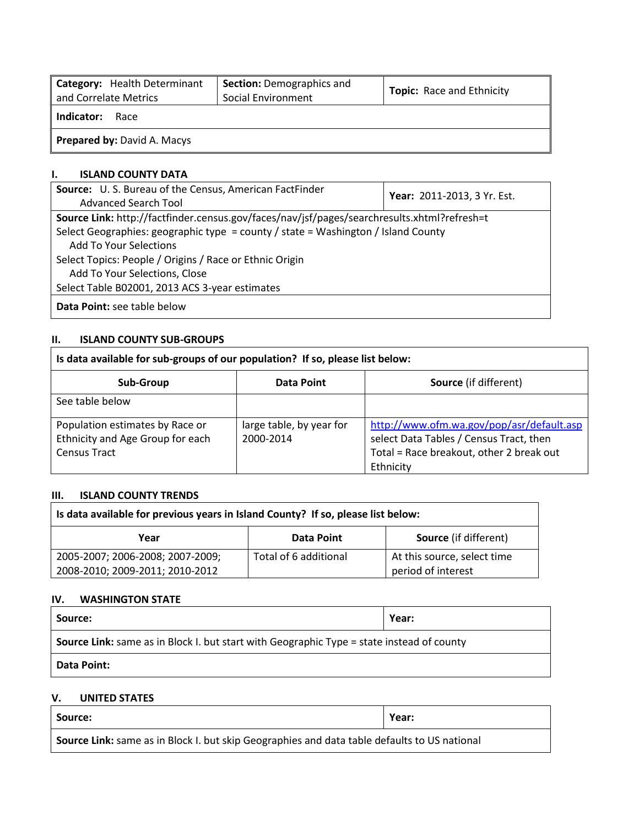| Category: Health Determinant<br>and Correlate Metrics | <b>Section:</b> Demographics and<br>Social Environment | <b>Topic:</b> Race and Ethnicity |  |  |  |  |  |  |  |  |
|-------------------------------------------------------|--------------------------------------------------------|----------------------------------|--|--|--|--|--|--|--|--|
| Indicator:<br>Race                                    |                                                        |                                  |  |  |  |  |  |  |  |  |
| <b>Prepared by: David A. Macys</b>                    |                                                        |                                  |  |  |  |  |  |  |  |  |

### **I. ISLAND COUNTY DATA**

| <b>Source:</b> U.S. Bureau of the Census, American FactFinder                               | Year: 2011-2013, 3 Yr. Est. |  |  |  |  |  |  |  |
|---------------------------------------------------------------------------------------------|-----------------------------|--|--|--|--|--|--|--|
| Advanced Search Tool                                                                        |                             |  |  |  |  |  |  |  |
| Source Link: http://factfinder.census.gov/faces/nav/jsf/pages/searchresults.xhtml?refresh=t |                             |  |  |  |  |  |  |  |
| Select Geographies: geographic type = county / state = Washington / Island County           |                             |  |  |  |  |  |  |  |
| <b>Add To Your Selections</b>                                                               |                             |  |  |  |  |  |  |  |
| Select Topics: People / Origins / Race or Ethnic Origin                                     |                             |  |  |  |  |  |  |  |
| Add To Your Selections, Close                                                               |                             |  |  |  |  |  |  |  |
| Select Table B02001, 2013 ACS 3-year estimates                                              |                             |  |  |  |  |  |  |  |
| Data Point: see table below                                                                 |                             |  |  |  |  |  |  |  |

# **II. ISLAND COUNTY SUB-GROUPS**

| Is data available for sub-groups of our population? If so, please list below:       |                                       |                                                                                                                                               |  |  |  |  |  |  |  |  |  |
|-------------------------------------------------------------------------------------|---------------------------------------|-----------------------------------------------------------------------------------------------------------------------------------------------|--|--|--|--|--|--|--|--|--|
| Sub-Group                                                                           | Data Point                            | <b>Source</b> (if different)                                                                                                                  |  |  |  |  |  |  |  |  |  |
| See table below                                                                     |                                       |                                                                                                                                               |  |  |  |  |  |  |  |  |  |
| Population estimates by Race or<br>Ethnicity and Age Group for each<br>Census Tract | large table, by year for<br>2000-2014 | http://www.ofm.wa.gov/pop/asr/default.asp<br>select Data Tables / Census Tract, then<br>Total = Race breakout, other 2 break out<br>Ethnicity |  |  |  |  |  |  |  |  |  |

#### **III. ISLAND COUNTY TRENDS**

| Is data available for previous years in Island County? If so, please list below: |                       |                              |  |  |  |  |  |  |  |  |
|----------------------------------------------------------------------------------|-----------------------|------------------------------|--|--|--|--|--|--|--|--|
| Year                                                                             | Data Point            | <b>Source</b> (if different) |  |  |  |  |  |  |  |  |
| 2005-2007; 2006-2008; 2007-2009;                                                 | Total of 6 additional | At this source, select time  |  |  |  |  |  |  |  |  |
| 2008-2010; 2009-2011; 2010-2012                                                  |                       | period of interest           |  |  |  |  |  |  |  |  |

# **IV. WASHINGTON STATE**

| Source:                                                                                          | Year: |  |  |  |  |  |  |
|--------------------------------------------------------------------------------------------------|-------|--|--|--|--|--|--|
| <b>Source Link:</b> same as in Block I. but start with Geographic Type = state instead of county |       |  |  |  |  |  |  |
| <b>Data Point:</b>                                                                               |       |  |  |  |  |  |  |

### **V. UNITED STATES**

| Source:                                                                                      | Year: |  |  |  |  |  |  |
|----------------------------------------------------------------------------------------------|-------|--|--|--|--|--|--|
| Source Link: same as in Block I. but skip Geographies and data table defaults to US national |       |  |  |  |  |  |  |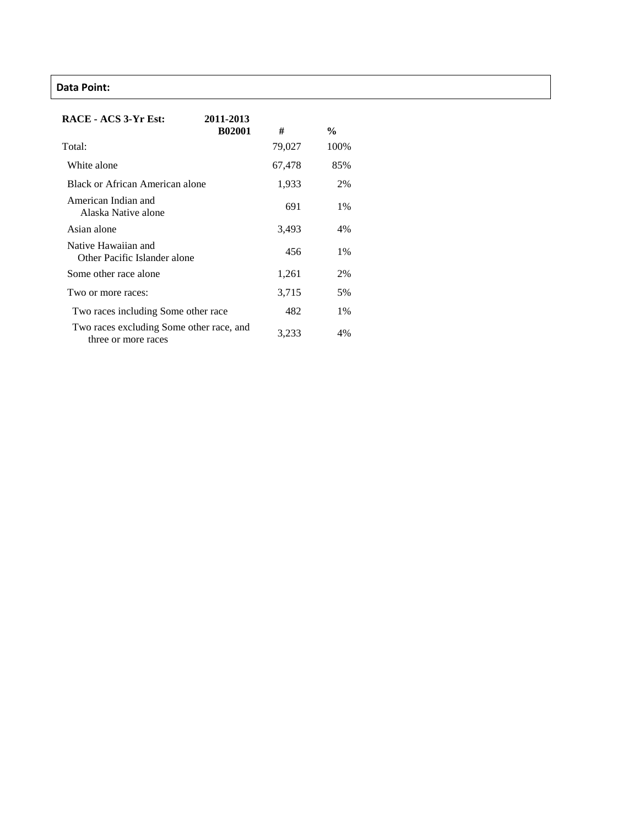# **Data Point:**

| RACE - ACS 3-Yr Est:                                            | 2011-2013     |        |               |
|-----------------------------------------------------------------|---------------|--------|---------------|
|                                                                 | <b>B02001</b> | #      | $\frac{6}{9}$ |
| Total:                                                          |               | 79,027 | 100%          |
| White alone                                                     |               | 67,478 | 85%           |
| Black or African American alone                                 |               | 1,933  | 2%            |
| American Indian and<br>Alaska Native alone                      |               | 691    | 1%            |
| Asian alone                                                     |               | 3,493  | 4%            |
| Native Hawaiian and<br>Other Pacific Islander alone             |               | 456    | $1\%$         |
| Some other race alone                                           |               | 1,261  | 2%            |
| Two or more races:                                              |               | 3,715  | 5%            |
| Two races including Some other race                             |               | 482    | $1\%$         |
| Two races excluding Some other race, and<br>three or more races |               | 3,233  | 4%            |